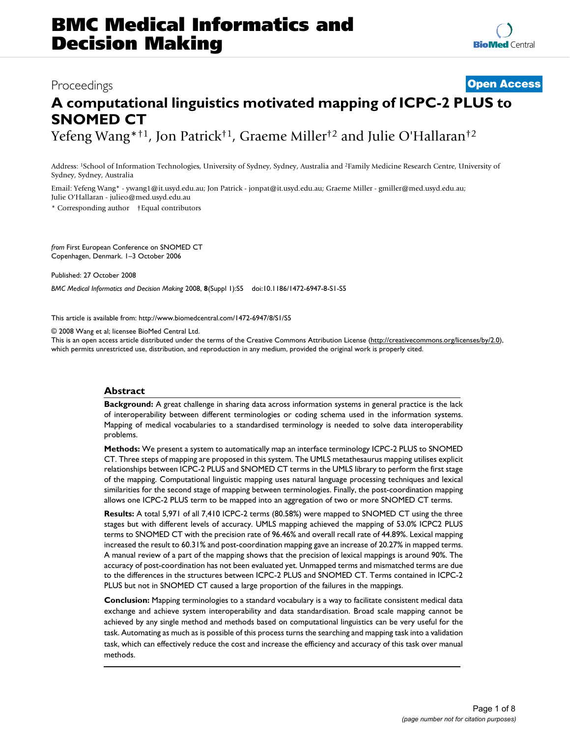# Proceedings **[Open Access](http://www.biomedcentral.com/info/about/charter/) A computational linguistics motivated mapping of ICPC-2 PLUS to SNOMED CT** Yefeng Wang\*†1, Jon Patrick†1, Graeme Miller†2 and Julie O'Hallaran†2

Address: 1School of Information Technologies, University of Sydney, Sydney, Australia and 2Family Medicine Research Centre, University of Sydney, Sydney, Australia

Email: Yefeng Wang\* - ywang1@it.usyd.edu.au; Jon Patrick - jonpat@it.usyd.edu.au; Graeme Miller - gmiller@med.usyd.edu.au; Julie O'Hallaran - julieo@med.usyd.edu.au \* Corresponding author †Equal contributors

*from* First European Conference on SNOMED CT Copenhagen, Denmark. 1–3 October 2006

Published: 27 October 2008

*BMC Medical Informatics and Decision Making* 2008, **8**(Suppl 1):S5 doi:10.1186/1472-6947-8-S1-S5

[This article is available from: http://www.biomedcentral.com/1472-6947/8/S1/S5](http://www.biomedcentral.com/1472-6947/8/S1/S5)

© 2008 Wang et al; licensee BioMed Central Ltd.

This is an open access article distributed under the terms of the Creative Commons Attribution License [\(http://creativecommons.org/licenses/by/2.0\)](http://creativecommons.org/licenses/by/2.0), which permits unrestricted use, distribution, and reproduction in any medium, provided the original work is properly cited.

# **Abstract**

**Background:** A great challenge in sharing data across information systems in general practice is the lack of interoperability between different terminologies or coding schema used in the information systems. Mapping of medical vocabularies to a standardised terminology is needed to solve data interoperability problems.

**Methods:** We present a system to automatically map an interface terminology ICPC-2 PLUS to SNOMED CT. Three steps of mapping are proposed in this system. The UMLS metathesaurus mapping utilises explicit relationships between ICPC-2 PLUS and SNOMED CT terms in the UMLS library to perform the first stage of the mapping. Computational linguistic mapping uses natural language processing techniques and lexical similarities for the second stage of mapping between terminologies. Finally, the post-coordination mapping allows one ICPC-2 PLUS term to be mapped into an aggregation of two or more SNOMED CT terms.

**Results:** A total 5,971 of all 7,410 ICPC-2 terms (80.58%) were mapped to SNOMED CT using the three stages but with different levels of accuracy. UMLS mapping achieved the mapping of 53.0% ICPC2 PLUS terms to SNOMED CT with the precision rate of 96.46% and overall recall rate of 44.89%. Lexical mapping increased the result to 60.31% and post-coordination mapping gave an increase of 20.27% in mapped terms. A manual review of a part of the mapping shows that the precision of lexical mappings is around 90%. The accuracy of post-coordination has not been evaluated yet. Unmapped terms and mismatched terms are due to the differences in the structures between ICPC-2 PLUS and SNOMED CT. Terms contained in ICPC-2 PLUS but not in SNOMED CT caused a large proportion of the failures in the mappings.

**Conclusion:** Mapping terminologies to a standard vocabulary is a way to facilitate consistent medical data exchange and achieve system interoperability and data standardisation. Broad scale mapping cannot be achieved by any single method and methods based on computational linguistics can be very useful for the task. Automating as much as is possible of this process turns the searching and mapping task into a validation task, which can effectively reduce the cost and increase the efficiency and accuracy of this task over manual methods.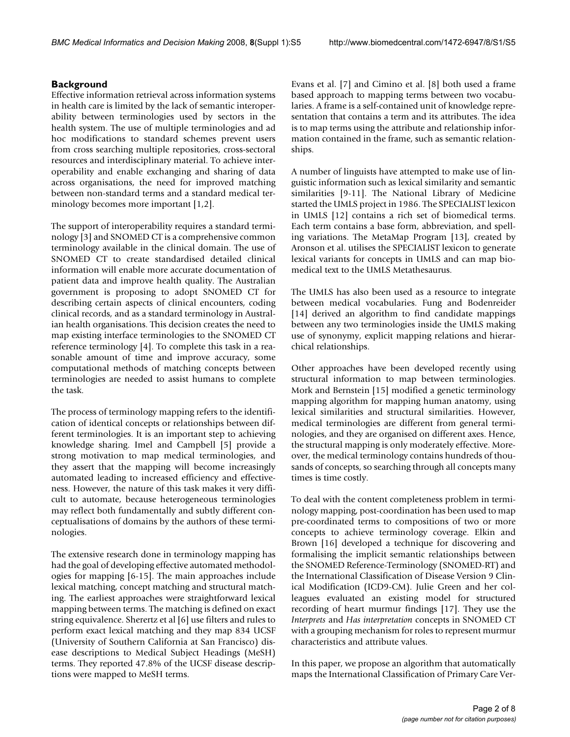# **Background**

Effective information retrieval across information systems in health care is limited by the lack of semantic interoperability between terminologies used by sectors in the health system. The use of multiple terminologies and ad hoc modifications to standard schemes prevent users from cross searching multiple repositories, cross-sectoral resources and interdisciplinary material. To achieve interoperability and enable exchanging and sharing of data across organisations, the need for improved matching between non-standard terms and a standard medical terminology becomes more important [1,2].

The support of interoperability requires a standard terminology [3] and SNOMED CT is a comprehensive common terminology available in the clinical domain. The use of SNOMED CT to create standardised detailed clinical information will enable more accurate documentation of patient data and improve health quality. The Australian government is proposing to adopt SNOMED CT for describing certain aspects of clinical encounters, coding clinical records, and as a standard terminology in Australian health organisations. This decision creates the need to map existing interface terminologies to the SNOMED CT reference terminology [4]. To complete this task in a reasonable amount of time and improve accuracy, some computational methods of matching concepts between terminologies are needed to assist humans to complete the task.

The process of terminology mapping refers to the identification of identical concepts or relationships between different terminologies. It is an important step to achieving knowledge sharing. Imel and Campbell [5] provide a strong motivation to map medical terminologies, and they assert that the mapping will become increasingly automated leading to increased efficiency and effectiveness. However, the nature of this task makes it very difficult to automate, because heterogeneous terminologies may reflect both fundamentally and subtly different conceptualisations of domains by the authors of these terminologies.

The extensive research done in terminology mapping has had the goal of developing effective automated methodologies for mapping [6-15]. The main approaches include lexical matching, concept matching and structural matching. The earliest approaches were straightforward lexical mapping between terms. The matching is defined on exact string equivalence. Sherertz et al [6] use filters and rules to perform exact lexical matching and they map 834 UCSF (University of Southern California at San Francisco) disease descriptions to Medical Subject Headings (MeSH) terms. They reported 47.8% of the UCSF disease descriptions were mapped to MeSH terms.

Evans et al. [7] and Cimino et al. [8] both used a frame based approach to mapping terms between two vocabularies. A frame is a self-contained unit of knowledge representation that contains a term and its attributes. The idea is to map terms using the attribute and relationship information contained in the frame, such as semantic relationships.

A number of linguists have attempted to make use of linguistic information such as lexical similarity and semantic similarities [9-11]. The National Library of Medicine started the UMLS project in 1986. The SPECIALIST lexicon in UMLS [12] contains a rich set of biomedical terms. Each term contains a base form, abbreviation, and spelling variations. The MetaMap Program [13], created by Aronson et al. utilises the SPECIALIST lexicon to generate lexical variants for concepts in UMLS and can map biomedical text to the UMLS Metathesaurus.

The UMLS has also been used as a resource to integrate between medical vocabularies. Fung and Bodenreider [14] derived an algorithm to find candidate mappings between any two terminologies inside the UMLS making use of synonymy, explicit mapping relations and hierarchical relationships.

Other approaches have been developed recently using structural information to map between terminologies. Mork and Bernstein [15] modified a genetic terminology mapping algorithm for mapping human anatomy, using lexical similarities and structural similarities. However, medical terminologies are different from general terminologies, and they are organised on different axes. Hence, the structural mapping is only moderately effective. Moreover, the medical terminology contains hundreds of thousands of concepts, so searching through all concepts many times is time costly.

To deal with the content completeness problem in terminology mapping, post-coordination has been used to map pre-coordinated terms to compositions of two or more concepts to achieve terminology coverage. Elkin and Brown [16] developed a technique for discovering and formalising the implicit semantic relationships between the SNOMED Reference-Terminology (SNOMED-RT) and the International Classification of Disease Version 9 Clinical Modification (ICD9-CM). Julie Green and her colleagues evaluated an existing model for structured recording of heart murmur findings [17]. They use the *Interprets* and *Has interpretation* concepts in SNOMED CT with a grouping mechanism for roles to represent murmur characteristics and attribute values.

In this paper, we propose an algorithm that automatically maps the International Classification of Primary Care Ver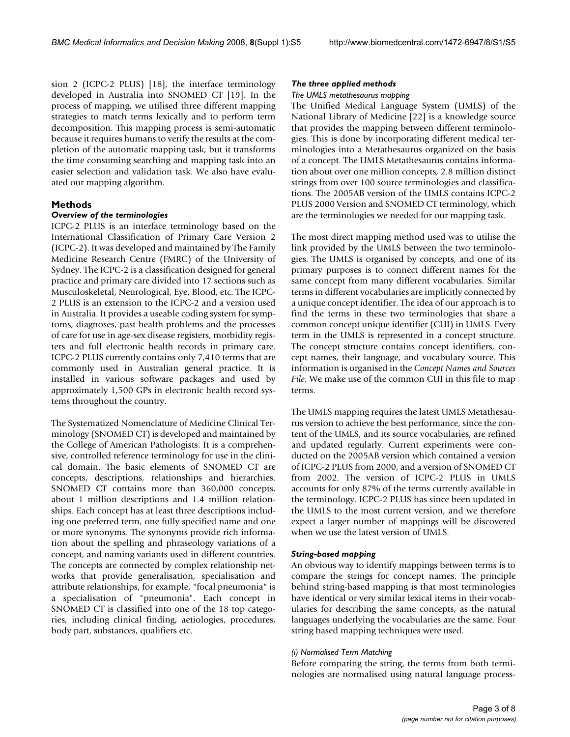sion 2 (ICPC-2 PLUS) [18], the interface terminology developed in Australia into SNOMED CT [19]. In the process of mapping, we utilised three different mapping strategies to match terms lexically and to perform term decomposition. This mapping process is semi-automatic because it requires humans to verify the results at the completion of the automatic mapping task, but it transforms the time consuming searching and mapping task into an easier selection and validation task. We also have evaluated our mapping algorithm.

# **Methods**

### *Overview of the terminologies*

ICPC-2 PLUS is an interface terminology based on the International Classification of Primary Care Version 2 (ICPC-2). It was developed and maintained by The Family Medicine Research Centre (FMRC) of the University of Sydney. The ICPC-2 is a classification designed for general practice and primary care divided into 17 sections such as Musculoskeletal, Neurological, Eye, Blood, etc. The ICPC-2 PLUS is an extension to the ICPC-2 and a version used in Australia. It provides a useable coding system for symptoms, diagnoses, past health problems and the processes of care for use in age-sex disease registers, morbidity registers and full electronic health records in primary care. ICPC-2 PLUS currently contains only 7,410 terms that are commonly used in Australian general practice. It is installed in various software packages and used by approximately 1,500 GPs in electronic health record systems throughout the country.

The Systematized Nomenclature of Medicine Clinical Terminology (SNOMED CT) is developed and maintained by the College of American Pathologists. It is a comprehensive, controlled reference terminology for use in the clinical domain. The basic elements of SNOMED CT are concepts, descriptions, relationships and hierarchies. SNOMED CT contains more than 360,000 concepts, about 1 million descriptions and 1.4 million relationships. Each concept has at least three descriptions including one preferred term, one fully specified name and one or more synonyms. The synonyms provide rich information about the spelling and phraseology variations of a concept, and naming variants used in different countries. The concepts are connected by complex relationship networks that provide generalisation, specialisation and attribute relationships, for example, "focal pneumonia" is a specialisation of "pneumonia". Each concept in SNOMED CT is classified into one of the 18 top categories, including clinical finding, aetiologies, procedures, body part, substances, qualifiers etc.

#### *The three applied methods*

#### *The UMLS metathesaurus mapping*

The Unified Medical Language System (UMLS) of the National Library of Medicine [22] is a knowledge source that provides the mapping between different terminologies. This is done by incorporating different medical terminologies into a Metathesaurus organized on the basis of a concept. The UMLS Metathesaurus contains information about over one million concepts, 2.8 million distinct strings from over 100 source terminologies and classifications. The 2005AB version of the UMLS contains ICPC-2 PLUS 2000 Version and SNOMED CT terminology, which are the terminologies we needed for our mapping task.

The most direct mapping method used was to utilise the link provided by the UMLS between the two terminologies. The UMLS is organised by concepts, and one of its primary purposes is to connect different names for the same concept from many different vocabularies. Similar terms in different vocabularies are implicitly connected by a unique concept identifier. The idea of our approach is to find the terms in these two terminologies that share a common concept unique identifier (CUI) in UMLS. Every term in the UMLS is represented in a concept structure. The concept structure contains concept identifiers, concept names, their language, and vocabulary source. This information is organised in the *Concept Names and Sources File*. We make use of the common CUI in this file to map terms.

The UMLS mapping requires the latest UMLS Metathesaurus version to achieve the best performance, since the content of the UMLS, and its source vocabularies, are refined and updated regularly. Current experiments were conducted on the 2005AB version which contained a version of ICPC-2 PLUS from 2000, and a version of SNOMED CT from 2002. The version of ICPC-2 PLUS in UMLS accounts for only 87% of the terms currently available in the terminology. ICPC-2 PLUS has since been updated in the UMLS to the most current version, and we therefore expect a larger number of mappings will be discovered when we use the latest version of UMLS.

#### *String-based mapping*

An obvious way to identify mappings between terms is to compare the strings for concept names. The principle behind string-based mapping is that most terminologies have identical or very similar lexical items in their vocabularies for describing the same concepts, as the natural languages underlying the vocabularies are the same. Four string based mapping techniques were used.

#### *(i) Normalised Term Matching*

Before comparing the string, the terms from both terminologies are normalised using natural language process-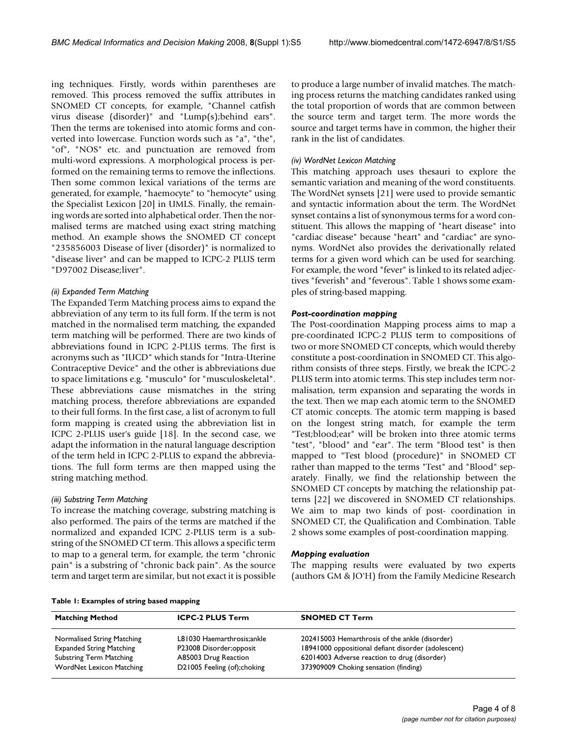ing techniques. Firstly, words within parentheses are removed. This process removed the suffix attributes in SNOMED CT concepts, for example, "Channel catfish virus disease (disorder)" and "Lump(s);behind ears". Then the terms are tokenised into atomic forms and converted into lowercase. Function words such as "a", "the", "of", "NOS" etc. and punctuation are removed from multi-word expressions. A morphological process is performed on the remaining terms to remove the inflections. Then some common lexical variations of the terms are generated, for example, "haemocyte" to "hemocyte" using the Specialist Lexicon [20] in UMLS. Finally, the remaining words are sorted into alphabetical order. Then the normalised terms are matched using exact string matching method. An example shows the SNOMED CT concept "235856003 Disease of liver (disorder)" is normalized to "disease liver" and can be mapped to ICPC-2 PLUS term "D97002 Disease;liver".

# *(ii) Expanded Term Matching*

The Expanded Term Matching process aims to expand the abbreviation of any term to its full form. If the term is not matched in the normalised term matching, the expanded term matching will be performed. There are two kinds of abbreviations found in ICPC 2-PLUS terms. The first is acronyms such as "IUCD" which stands for "Intra-Uterine Contraceptive Device" and the other is abbreviations due to space limitations e.g. "musculo" for "musculoskeletal". These abbreviations cause mismatches in the string matching process, therefore abbreviations are expanded to their full forms. In the first case, a list of acronym to full form mapping is created using the abbreviation list in ICPC 2-PLUS user's guide [18]. In the second case, we adapt the information in the natural language description of the term held in ICPC 2-PLUS to expand the abbreviations. The full form terms are then mapped using the string matching method.

#### *(iii) Substring Term Matching*

To increase the matching coverage, substring matching is also performed. The pairs of the terms are matched if the normalized and expanded ICPC 2-PLUS term is a substring of the SNOMED CT term. This allows a specific term to map to a general term, for example, the term "chronic pain" is a substring of "chronic back pain". As the source term and target term are similar, but not exact it is possible to produce a large number of invalid matches. The matching process returns the matching candidates ranked using the total proportion of words that are common between the source term and target term. The more words the source and target terms have in common, the higher their rank in the list of candidates.

## *(iv) WordNet Lexicon Matching*

This matching approach uses thesauri to explore the semantic variation and meaning of the word constituents. The WordNet synsets [21] were used to provide semantic and syntactic information about the term. The WordNet synset contains a list of synonymous terms for a word constituent. This allows the mapping of "heart disease" into "cardiac disease" because "heart" and "cardiac" are synonyms. WordNet also provides the derivationally related terms for a given word which can be used for searching. For example, the word "fever" is linked to its related adjectives "feverish" and "feverous". Table 1 shows some examples of string-based mapping.

### *Post-coordination mapping*

The Post-coordination Mapping process aims to map a pre-coordinated ICPC-2 PLUS term to compositions of two or more SNOMED CT concepts, which would thereby constitute a post-coordination in SNOMED CT. This algorithm consists of three steps. Firstly, we break the ICPC-2 PLUS term into atomic terms. This step includes term normalisation, term expansion and separating the words in the text. Then we map each atomic term to the SNOMED CT atomic concepts. The atomic term mapping is based on the longest string match, for example the term "Test;blood;ear" will be broken into three atomic terms "test", "blood" and "ear". The term "Blood test" is then mapped to "Test blood (procedure)" in SNOMED CT rather than mapped to the terms "Test" and "Blood" separately. Finally, we find the relationship between the SNOMED CT concepts by matching the relationship patterns [22] we discovered in SNOMED CT relationships. We aim to map two kinds of post- coordination in SNOMED CT, the Qualification and Combination. Table 2 shows some examples of post-coordination mapping.

#### *Mapping evaluation*

The mapping results were evaluated by two experts (authors GM & JO'H) from the Family Medicine Research

**Table 1: Examples of string based mapping**

| <b>Matching Method</b>                                            | <b>ICPC-2 PLUS Term</b>                         | <b>SNOMED CT Term</b>                                                                               |
|-------------------------------------------------------------------|-------------------------------------------------|-----------------------------------------------------------------------------------------------------|
| Normalised String Matching                                        | L81030 Haemarthrosis;ankle                      | 202415003 Hemarthrosis of the ankle (disorder)                                                      |
| <b>Expanded String Matching</b><br><b>Substring Term Matching</b> | P23008 Disorder;opposit<br>A85003 Drug Reaction | 18941000 oppositional defiant disorder (adolescent)<br>62014003 Adverse reaction to drug (disorder) |
| WordNet Lexicon Matching                                          | D21005 Feeling (of); choking                    | 373909009 Choking sensation (finding)                                                               |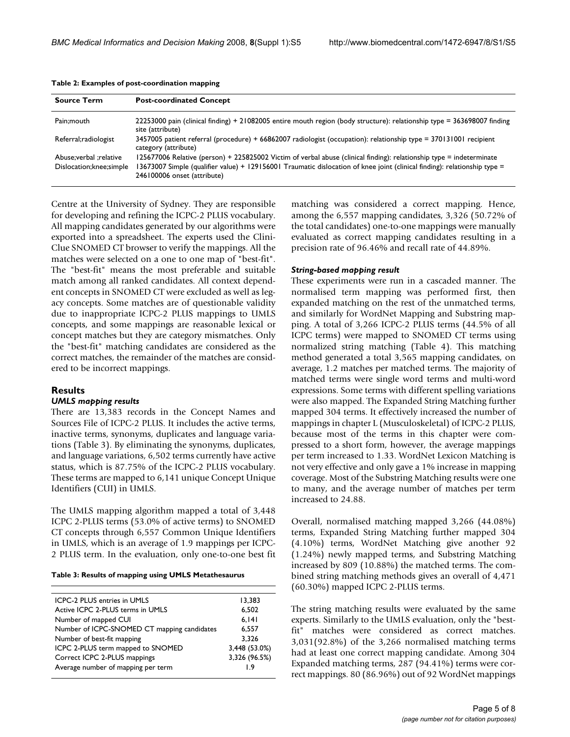| <b>Source Term</b>                                    | <b>Post-coordinated Concept</b>                                                                                                                                                                                                                                                  |
|-------------------------------------------------------|----------------------------------------------------------------------------------------------------------------------------------------------------------------------------------------------------------------------------------------------------------------------------------|
| Pain:mouth                                            | 22253000 pain (clinical finding) + 21082005 entire mouth region (body structure): relationship type = 363698007 finding<br>site (attribute)                                                                                                                                      |
| Referral; radiologist                                 | 3457005 patient referral (procedure) + 66862007 radiologist (occupation): relationship type = 370131001 recipient<br>category (attribute)                                                                                                                                        |
| Abuse; verbal ; relative<br>Dislocation; knee; simple | 125677006 Relative (person) + 225825002 Victim of verbal abuse (clinical finding): relationship type = indeterminate<br>13673007 Simple (qualifier value) + 129156001 Traumatic dislocation of knee joint (clinical finding): relationship type =<br>246100006 onset (attribute) |

|  | Table 2: Examples of post-coordination mapping |  |
|--|------------------------------------------------|--|
|  |                                                |  |

Centre at the University of Sydney. They are responsible for developing and refining the ICPC-2 PLUS vocabulary. All mapping candidates generated by our algorithms were exported into a spreadsheet. The experts used the Clini-Clue SNOMED CT browser to verify the mappings. All the matches were selected on a one to one map of "best-fit". The "best-fit" means the most preferable and suitable match among all ranked candidates. All context dependent concepts in SNOMED CT were excluded as well as legacy concepts. Some matches are of questionable validity due to inappropriate ICPC-2 PLUS mappings to UMLS concepts, and some mappings are reasonable lexical or concept matches but they are category mismatches. Only the "best-fit" matching candidates are considered as the correct matches, the remainder of the matches are considered to be incorrect mappings.

# **Results**

#### *UMLS mapping results*

There are 13,383 records in the Concept Names and Sources File of ICPC-2 PLUS. It includes the active terms, inactive terms, synonyms, duplicates and language variations (Table 3). By eliminating the synonyms, duplicates, and language variations, 6,502 terms currently have active status, which is 87.75% of the ICPC-2 PLUS vocabulary. These terms are mapped to 6,141 unique Concept Unique Identifiers (CUI) in UMLS.

The UMLS mapping algorithm mapped a total of 3,448 ICPC 2-PLUS terms (53.0% of active terms) to SNOMED CT concepts through 6,557 Common Unique Identifiers in UMLS, which is an average of 1.9 mappings per ICPC-2 PLUS term. In the evaluation, only one-to-one best fit

|  |  |  |  |  | Table 3: Results of mapping using UMLS Metathesaurus |
|--|--|--|--|--|------------------------------------------------------|
|--|--|--|--|--|------------------------------------------------------|

| ICPC-2 PLUS entries in UMLS                 | 13,383        |
|---------------------------------------------|---------------|
| Active ICPC 2-PLUS terms in UMLS            | 6,502         |
| Number of mapped CUI                        | 6.141         |
| Number of ICPC-SNOMED CT mapping candidates | 6,557         |
| Number of best-fit mapping                  | 3.326         |
| ICPC 2-PLUS term mapped to SNOMED           | 3,448 (53.0%) |
| Correct ICPC 2-PLUS mappings                | 3,326 (96.5%) |
| Average number of mapping per term          | ۱۹            |
|                                             |               |

matching was considered a correct mapping. Hence, among the 6,557 mapping candidates, 3,326 (50.72% of the total candidates) one-to-one mappings were manually evaluated as correct mapping candidates resulting in a precision rate of 96.46% and recall rate of 44.89%.

#### *String-based mapping result*

These experiments were run in a cascaded manner. The normalised term mapping was performed first, then expanded matching on the rest of the unmatched terms, and similarly for WordNet Mapping and Substring mapping. A total of 3,266 ICPC-2 PLUS terms (44.5% of all ICPC terms) were mapped to SNOMED CT terms using normalized string matching (Table 4). This matching method generated a total 3,565 mapping candidates, on average, 1.2 matches per matched terms. The majority of matched terms were single word terms and multi-word expressions. Some terms with different spelling variations were also mapped. The Expanded String Matching further mapped 304 terms. It effectively increased the number of mappings in chapter L (Musculoskeletal) of ICPC-2 PLUS, because most of the terms in this chapter were compressed to a short form, however, the average mappings per term increased to 1.33. WordNet Lexicon Matching is not very effective and only gave a 1% increase in mapping coverage. Most of the Substring Matching results were one to many, and the average number of matches per term increased to 24.88.

Overall, normalised matching mapped 3,266 (44.08%) terms, Expanded String Matching further mapped 304 (4.10%) terms, WordNet Matching give another 92 (1.24%) newly mapped terms, and Substring Matching increased by 809 (10.88%) the matched terms. The combined string matching methods gives an overall of 4,471 (60.30%) mapped ICPC 2-PLUS terms.

The string matching results were evaluated by the same experts. Similarly to the UMLS evaluation, only the "bestfit" matches were considered as correct matches. 3,031(92.8%) of the 3,266 normalised matching terms had at least one correct mapping candidate. Among 304 Expanded matching terms, 287 (94.41%) terms were correct mappings. 80 (86.96%) out of 92 WordNet mappings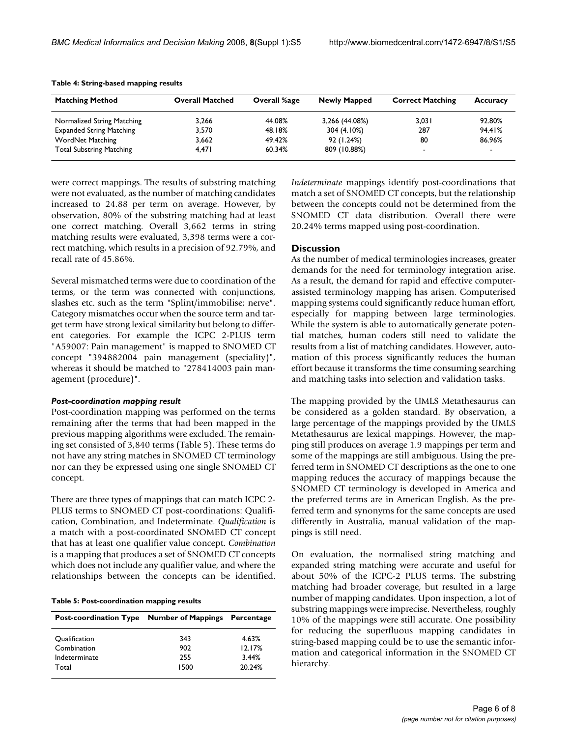| <b>Matching Method</b>          | <b>Overall Matched</b> | Overall %age | <b>Newly Mapped</b> | <b>Correct Matching</b> | Accuracy |
|---------------------------------|------------------------|--------------|---------------------|-------------------------|----------|
| Normalized String Matching      | 3.266                  | 44.08%       | 3,266 (44.08%)      | 3.031                   | 92.80%   |
| <b>Expanded String Matching</b> | 3.570                  | 48.18%       | 304 (4.10%)         | 287                     | 94.41%   |
| WordNet Matching                | 3,662                  | 49.42%       | 92 (1.24%)          | 80                      | 86.96%   |
| <b>Total Substring Matching</b> | 4.471                  | 60.34%       | 809 (10.88%)        | -                       | $\sim$   |

#### **Table 4: String-based mapping results**

were correct mappings. The results of substring matching were not evaluated, as the number of matching candidates increased to 24.88 per term on average. However, by observation, 80% of the substring matching had at least one correct matching. Overall 3,662 terms in string matching results were evaluated, 3,398 terms were a correct matching, which results in a precision of 92.79%, and recall rate of 45.86%.

Several mismatched terms were due to coordination of the terms, or the term was connected with conjunctions, slashes etc. such as the term "Splint/immobilise; nerve". Category mismatches occur when the source term and target term have strong lexical similarity but belong to different categories. For example the ICPC 2-PLUS term "A59007: Pain management" is mapped to SNOMED CT concept "394882004 pain management (speciality)", whereas it should be matched to "278414003 pain management (procedure)".

#### *Post-coordination mapping result*

Post-coordination mapping was performed on the terms remaining after the terms that had been mapped in the previous mapping algorithms were excluded. The remaining set consisted of 3,840 terms (Table 5). These terms do not have any string matches in SNOMED CT terminology nor can they be expressed using one single SNOMED CT concept.

There are three types of mappings that can match ICPC 2- PLUS terms to SNOMED CT post-coordinations: Qualification, Combination, and Indeterminate. *Qualification* is a match with a post-coordinated SNOMED CT concept that has at least one qualifier value concept. *Combination* is a mapping that produces a set of SNOMED CT concepts which does not include any qualifier value, and where the relationships between the concepts can be identified.

#### **Table 5: Post-coordination mapping results**

| Post-coordination Type Number of Mappings Percentage |      |        |
|------------------------------------------------------|------|--------|
| Qualification                                        | 343  | 4.63%  |
| Combination                                          | 902  | 12.17% |
| Indeterminate                                        | 255  | 3.44%  |
| Total                                                | 1500 | 20.24% |

*Indeterminate* mappings identify post-coordinations that match a set of SNOMED CT concepts, but the relationship between the concepts could not be determined from the SNOMED CT data distribution. Overall there were 20.24% terms mapped using post-coordination.

### **Discussion**

As the number of medical terminologies increases, greater demands for the need for terminology integration arise. As a result, the demand for rapid and effective computerassisted terminology mapping has arisen. Computerised mapping systems could significantly reduce human effort, especially for mapping between large terminologies. While the system is able to automatically generate potential matches, human coders still need to validate the results from a list of matching candidates. However, automation of this process significantly reduces the human effort because it transforms the time consuming searching and matching tasks into selection and validation tasks.

The mapping provided by the UMLS Metathesaurus can be considered as a golden standard. By observation, a large percentage of the mappings provided by the UMLS Metathesaurus are lexical mappings. However, the mapping still produces on average 1.9 mappings per term and some of the mappings are still ambiguous. Using the preferred term in SNOMED CT descriptions as the one to one mapping reduces the accuracy of mappings because the SNOMED CT terminology is developed in America and the preferred terms are in American English. As the preferred term and synonyms for the same concepts are used differently in Australia, manual validation of the mappings is still need.

On evaluation, the normalised string matching and expanded string matching were accurate and useful for about 50% of the ICPC-2 PLUS terms. The substring matching had broader coverage, but resulted in a large number of mapping candidates. Upon inspection, a lot of substring mappings were imprecise. Nevertheless, roughly 10% of the mappings were still accurate. One possibility for reducing the superfluous mapping candidates in string-based mapping could be to use the semantic information and categorical information in the SNOMED CT hierarchy.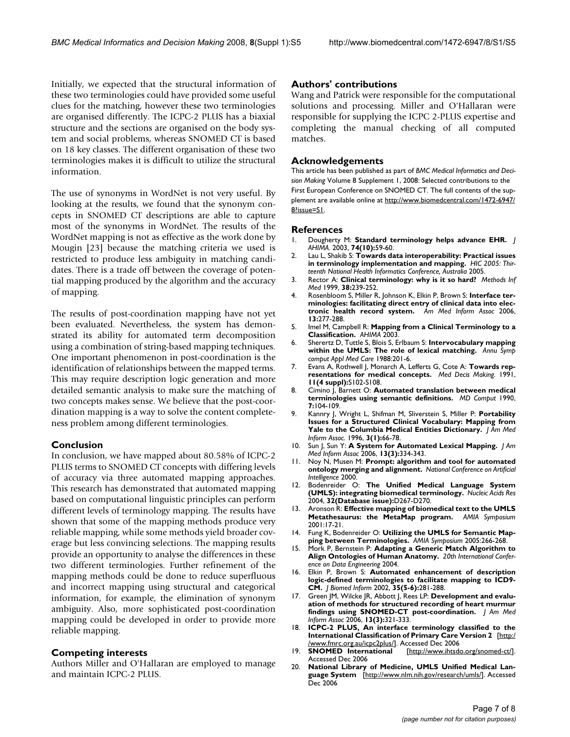Initially, we expected that the structural information of these two terminologies could have provided some useful clues for the matching, however these two terminologies are organised differently. The ICPC-2 PLUS has a biaxial structure and the sections are organised on the body system and social problems, whereas SNOMED CT is based on 18 key classes. The different organisation of these two terminologies makes it is difficult to utilize the structural information.

The use of synonyms in WordNet is not very useful. By looking at the results, we found that the synonym concepts in SNOMED CT descriptions are able to capture most of the synonyms in WordNet. The results of the WordNet mapping is not as effective as the work done by Mougin [23] because the matching criteria we used is restricted to produce less ambiguity in matching candidates. There is a trade off between the coverage of potential mapping produced by the algorithm and the accuracy of mapping.

The results of post-coordination mapping have not yet been evaluated. Nevertheless, the system has demonstrated its ability for automated term decomposition using a combination of string-based mapping techniques. One important phenomenon in post-coordination is the identification of relationships between the mapped terms. This may require description logic generation and more detailed semantic analysis to make sure the matching of two concepts makes sense. We believe that the post-coordination mapping is a way to solve the content completeness problem among different terminologies.

# **Conclusion**

In conclusion, we have mapped about 80.58% of ICPC-2 PLUS terms to SNOMED CT concepts with differing levels of accuracy via three automated mapping approaches. This research has demonstrated that automated mapping based on computational linguistic principles can perform different levels of terminology mapping. The results have shown that some of the mapping methods produce very reliable mapping, while some methods yield broader coverage but less convincing selections. The mapping results provide an opportunity to analyse the differences in these two different terminologies. Further refinement of the mapping methods could be done to reduce superfluous and incorrect mapping using structural and categorical information, for example, the elimination of synonym ambiguity. Also, more sophisticated post-coordination mapping could be developed in order to provide more reliable mapping.

# **Competing interests**

Authors Miller and O'Hallaran are employed to manage and maintain ICPC-2 PLUS.

# **Authors' contributions**

Wang and Patrick were responsible for the computational solutions and processing. Miller and O'Hallaran were responsible for supplying the ICPC 2-PLUS expertise and completing the manual checking of all computed matches.

# **Acknowledgements**

This article has been published as part of *BMC Medical Informatics and Decision Making* Volume 8 Supplement 1, 2008: Selected contributions to the First European Conference on SNOMED CT. The full contents of the supplement are available online at [http://www.biomedcentral.com/1472-6947/](http://www.biomedcentral.com/1472-6947/8?issue=S1) [8?issue=S1.](http://www.biomedcentral.com/1472-6947/8?issue=S1)

### **References**

- 1. Dougherty M: **[Standard terminology helps advance EHR.](http://www.ncbi.nlm.nih.gov/entrez/query.fcgi?cmd=Retrieve&db=PubMed&dopt=Abstract&list_uids=14618847)** *J AHIMA.* 2003, **74(10):**59-60.
- 2. Lau L, Shakib S: **Towards data interoperability: Practical issues in terminology implementation and mapping.** *HIC 2005: Thirteenth National Health Informatics Conference, Australia* 2005.
- 3. Rector A: **[Clinical terminology: why is it so hard?](http://www.ncbi.nlm.nih.gov/entrez/query.fcgi?cmd=Retrieve&db=PubMed&dopt=Abstract&list_uids=10805008)** *Methods Inf Med* 1999, **38:**239-252.
- 4. Rosenbloom S, Miller R, Johnson K, Elkin P, Brown S: **Interface terminologies: facilitating direct entry of clinical data into electronic health record system.** *Am Med Inform Assoc* 2006, **13:**277-288.
- 5. Imel M, Campbell R: **Mapping from a Clinical Terminology to a Classification.** *AHIMA* 2003.
- 6. Sherertz D, Tuttle S, Blois S, Erlbaum S: **Intervocabulary mapping within the UMLS: The role of lexical matching.** *Annu Symp comput Appl Med Care* 1988:201-6.
- 7. Evans A, Rothwell J, Monarch A, Lefferts G, Cote A: **[Towards rep](http://www.ncbi.nlm.nih.gov/entrez/query.fcgi?cmd=Retrieve&db=PubMed&dopt=Abstract&list_uids=1770838)[resentations for medical concepts.](http://www.ncbi.nlm.nih.gov/entrez/query.fcgi?cmd=Retrieve&db=PubMed&dopt=Abstract&list_uids=1770838)** *Med Decis Making.* 1991, **11(4 suppl):**S102-S108.
- 8. Cimino J, Barnett O: **[Automated translation between medical](http://www.ncbi.nlm.nih.gov/entrez/query.fcgi?cmd=Retrieve&db=PubMed&dopt=Abstract&list_uids=2186251) [terminologies using semantic definitions.](http://www.ncbi.nlm.nih.gov/entrez/query.fcgi?cmd=Retrieve&db=PubMed&dopt=Abstract&list_uids=2186251)** *MD Comput* 1990, **7:**104-109.
- 9. Kannry J, Wright L, Shifman M, Sliverstein S, Miller P: **[Portability](http://www.ncbi.nlm.nih.gov/entrez/query.fcgi?cmd=Retrieve&db=PubMed&dopt=Abstract&list_uids=8750391) [Issues for a Structured Clinical Vocabulary: Mapping from](http://www.ncbi.nlm.nih.gov/entrez/query.fcgi?cmd=Retrieve&db=PubMed&dopt=Abstract&list_uids=8750391) [Yale to the Columbia Medical Entities Dictionary.](http://www.ncbi.nlm.nih.gov/entrez/query.fcgi?cmd=Retrieve&db=PubMed&dopt=Abstract&list_uids=8750391)** *J Am Med Inform Assoc.* 1996, **3(1):**66-78.
- 10. Sun J, Sun Y: **[A System for Automated Lexical Mapping.](http://www.ncbi.nlm.nih.gov/entrez/query.fcgi?cmd=Retrieve&db=PubMed&dopt=Abstract&list_uids=16501186)** *J Am Med Inform Assoc* 2006, **13(3):**334-343.
- 11. Noy N, Musen M: **Prompt: algorithm and tool for automated ontology merging and alignment.** *National Conference on Artificial Intelligence* 2000.
- 12. Bodenreider O: **[The Unified Medical Language System](http://www.ncbi.nlm.nih.gov/entrez/query.fcgi?cmd=Retrieve&db=PubMed&dopt=Abstract&list_uids=14681409) [\(UMLS\): integrating biomedical terminology.](http://www.ncbi.nlm.nih.gov/entrez/query.fcgi?cmd=Retrieve&db=PubMed&dopt=Abstract&list_uids=14681409)** *Nucleic Acids Res* 2004, **32(Database issue):**D267-D270.
- 13. Aronson R: **Effective mapping of biomedical text to the UMLS Metathesaurus: the MetaMap program.** *AMIA Symposium* 2001:17-21.
- 14. Fung K, Bodenreider O: **[Utilizing the UMLS for Semantic Map](http://www.ncbi.nlm.nih.gov/entrez/query.fcgi?cmd=Retrieve&db=PubMed&dopt=Abstract&list_uids=16779043)[ping between Terminologies.](http://www.ncbi.nlm.nih.gov/entrez/query.fcgi?cmd=Retrieve&db=PubMed&dopt=Abstract&list_uids=16779043)** *AMIA Symposium* 2005:266-268.
- 15. Mork P, Bernstein P: **Adapting a Generic Match Algorithm to Align Ontologies of Human Anatomy.** *20th International Conference on Data Engineering* 2004.
- 16. Elkin P, Brown S: **[Automated enhancement of description](http://www.ncbi.nlm.nih.gov/entrez/query.fcgi?cmd=Retrieve&db=PubMed&dopt=Abstract&list_uids=12968776) [logic-defined terminologies to facilitate mapping to ICD9-](http://www.ncbi.nlm.nih.gov/entrez/query.fcgi?cmd=Retrieve&db=PubMed&dopt=Abstract&list_uids=12968776) [CM.](http://www.ncbi.nlm.nih.gov/entrez/query.fcgi?cmd=Retrieve&db=PubMed&dopt=Abstract&list_uids=12968776)** *J Biomed Inform* 2002, **35(5-6):**281-288.
- 17. Green JM, Wilcke JR, Abbott J, Rees LP: **[Development and evalu](http://www.ncbi.nlm.nih.gov/entrez/query.fcgi?cmd=Retrieve&db=PubMed&dopt=Abstract&list_uids=16501179)[ation of methods for structured recording of heart murmur](http://www.ncbi.nlm.nih.gov/entrez/query.fcgi?cmd=Retrieve&db=PubMed&dopt=Abstract&list_uids=16501179) [findings using SNOMED-CT post-coordination.](http://www.ncbi.nlm.nih.gov/entrez/query.fcgi?cmd=Retrieve&db=PubMed&dopt=Abstract&list_uids=16501179)** *J Am Med Inform Assoc* 2006, **13(3):**321-333.
- 18. **ICPC-2 PLUS, An interface terminology classified to the International Classification of Primary Care Version 2** [[http:/](http://www.fmrc.org.au/icpc2plus/) [/www.fmrc.org.au/icpc2plus/](http://www.fmrc.org.au/icpc2plus/)]. Accessed Dec 2006
- [[http://www.ihtsdo.org/snomed-ct/\]](http://www.ihtsdo.org/snomed-ct/). Accessed Dec 2006
- 20. **National Library of Medicine, UMLS Unified Medical Language System** [\[http://www.nlm.nih.gov/research/umls/](http://www.nlm.nih.gov/research/umls/)]. Accessed Dec 2006